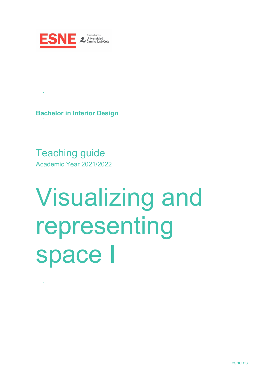

**Bachelor in Interior Design**

 $\sim 80\%$ 

Teaching guide Academic Year 2021/2022

# Visualizing and representing space I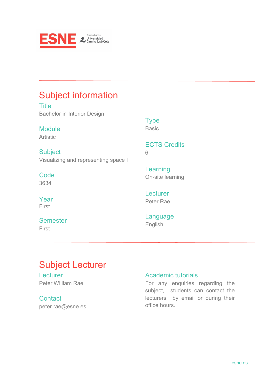

## Subject information

**Title** Bachelor in Interior Design

Module Artistic

**Subject** Visualizing and representing space I

**Code** 3634

Year First

**Semester** First

Type **Basic** 

ECTS Credits 6

Learning On-site learning

**Lecturer** Peter Rae

Language English

## Subject Lecturer

Lecturer Peter William Rae

**Contact** peter.rae@esne.es

#### Academic tutorials

For any enquiries regarding the subject, students can contact the lecturers by email or during their office hours.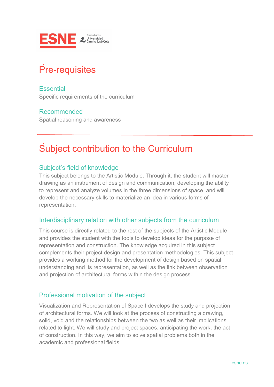

## Pre-requisites

**Essential** Specific requirements of the curriculum

#### Recommended

Spatial reasoning and awareness

## Subject contribution to the Curriculum

#### Subject's field of knowledge

This subject belongs to the Artistic Module. Through it, the student will master drawing as an instrument of design and communication, developing the ability to represent and analyze volumes in the three dimensions of space, and will develop the necessary skills to materialize an idea in various forms of representation.

#### Interdisciplinary relation with other subjects from the curriculum

This course is directly related to the rest of the subjects of the Artistic Module and provides the student with the tools to develop ideas for the purpose of representation and construction. The knowledge acquired in this subject complements their project design and presentation methodologies. This subject provides a working method for the development of design based on spatial understanding and its representation, as well as the link between observation and projection of architectural forms within the design process.

#### Professional motivation of the subject

Visualization and Representation of Space I develops the study and projection of architectural forms. We will look at the process of constructing a drawing, solid, void and the relationships between the two as well as their implications related to light. We will study and project spaces, anticipating the work, the act of construction. In this way, we aim to solve spatial problems both in the academic and professional fields.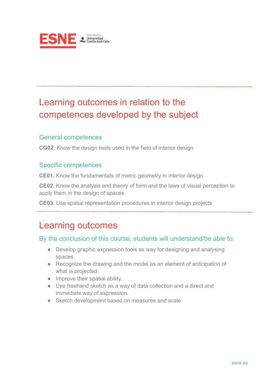

## Learning outcomes in relation to the competences developed by the subject

#### General competences

**CG02.** Know the design tools used in the field of interior design

#### Specific competences

**CE01.** Know the fundamentals of metric geometry in interior design

**CE02.** Know the analysis and theory of form and the laws of visual perception to apply them in the design of spaces

**CE03.** Use spatial representation procedures in interior design projects

## Learning outcomes

#### By the conclusion of this course, students will understand/be able to:

- Develop graphic expression tools as way for designing and analysing spaces.
- Recognize the drawing and the model as an element of anticipation of what is projected.
- Improve their spatial ability.
- Use freehand sketch as a way of data collection and a direct and immediate way of expression.
- Sketch development based on measures and scale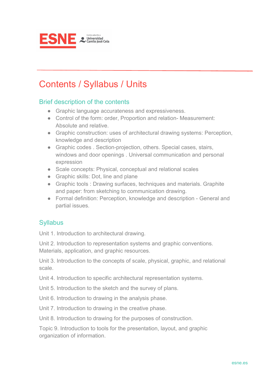

## Contents / Syllabus / Units

#### Brief description of the contents

- Graphic language accurateness and expressiveness.
- Control of the form: order, Proportion and relation- Measurement: Absolute and relative.
- Graphic construction: uses of architectural drawing systems: Perception, knowledge and description
- Graphic codes . Section-projection, others. Special cases, stairs, windows and door openings . Universal communication and personal expression
- Scale concepts: Physical, conceptual and relational scales
- Graphic skills: Dot, line and plane
- Graphic tools : Drawing surfaces, techniques and materials, Graphite and paper: from sketching to communication drawing.
- Formal definition: Perception, knowledge and description General and partial issues.

#### **Syllabus**

Unit 1. Introduction to architectural drawing.

Unit 2. Introduction to representation systems and graphic conventions. Materials, application, and graphic resources.

Unit 3. Introduction to the concepts of scale, physical, graphic, and relational scale.

Unit 4. Introduction to specific architectural representation systems.

Unit 5. Introduction to the sketch and the survey of plans.

Unit 6. Introduction to drawing in the analysis phase.

Unit 7. Introduction to drawing in the creative phase.

Unit 8. Introduction to drawing for the purposes of construction.

Topic 9. Introduction to tools for the presentation, layout, and graphic organization of information.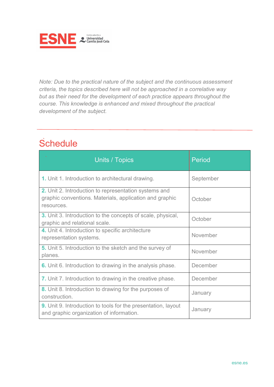

*Note: Due to the practical nature of the subject and the continuous assessment criteria, the topics described here will not be approached in a correlative way but as their need for the development of each practice appears throughout the course. This knowledge is enhanced and mixed throughout the practical development of the subject.*

# **Schedule**

| Units / Topics                                                                                                                        | <b>Period</b> |
|---------------------------------------------------------------------------------------------------------------------------------------|---------------|
| 1. Unit 1. Introduction to architectural drawing.                                                                                     | September     |
| <b>2.</b> Unit 2. Introduction to representation systems and<br>graphic conventions. Materials, application and graphic<br>resources. | October       |
| <b>3.</b> Unit 3. Introduction to the concepts of scale, physical,<br>graphic and relational scale.                                   | October       |
| 4. Unit 4. Introduction to specific architecture<br>representation systems.                                                           | November      |
| 5. Unit 5. Introduction to the sketch and the survey of<br>planes.                                                                    | November      |
| <b>6.</b> Unit 6. Introduction to drawing in the analysis phase.                                                                      | December      |
| <b>7.</b> Unit 7. Introduction to drawing in the creative phase.                                                                      | December      |
| 8. Unit 8. Introduction to drawing for the purposes of<br>construction.                                                               | January       |
| <b>9.</b> Unit 9. Introduction to tools for the presentation, layout<br>and graphic organization of information.                      | January       |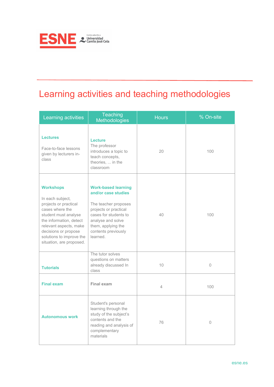

# Learning activities and teaching methodologies

| Learning activities                                                                                                                                                                                                                           | <b>Teaching</b><br>Methodologies                                                                                                                                                                          | <b>Hours</b> | % On-site      |
|-----------------------------------------------------------------------------------------------------------------------------------------------------------------------------------------------------------------------------------------------|-----------------------------------------------------------------------------------------------------------------------------------------------------------------------------------------------------------|--------------|----------------|
| <b>Lectures</b><br>Face-to-face lessons<br>given by lecturers in-<br>class                                                                                                                                                                    | <b>Lecture</b><br>The professor<br>introduces a topic to<br>teach concepts,<br>theories,  in the<br>classroom                                                                                             | 20           | 100            |
| <b>Workshops</b><br>In each subject,<br>projects or practical<br>cases where the<br>student must analyse<br>the information, detect<br>relevant aspects, make<br>decisions or propose<br>solutions to improve the<br>situation, are proposed. | <b>Work-based learning</b><br>and/or case studies<br>The teacher proposes<br>projects or practical<br>cases for students to<br>analyse and solve<br>them, applying the<br>contents previously<br>learned. | 40           | 100            |
| <b>Tutorials</b>                                                                                                                                                                                                                              | The tutor solves<br>questions on matters<br>already discussed In<br>class                                                                                                                                 | 10           | 0              |
| <b>Final exam</b>                                                                                                                                                                                                                             | Final exam                                                                                                                                                                                                | 4            | 100            |
| <b>Autonomous work</b>                                                                                                                                                                                                                        | Student's personal<br>learning through the<br>study of the subject's<br>contents and the<br>reading and analysis of<br>complementary<br>materials                                                         | 76           | $\overline{0}$ |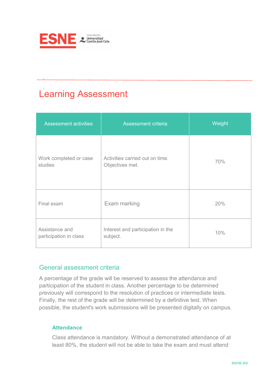

# Learning Assessment

| <b>Assessment activities</b>             | Assessment criteria                                | Weight |
|------------------------------------------|----------------------------------------------------|--------|
| Work completed or case<br>studies        | Activities carried out on time.<br>Objectives met. | 70%    |
| Final exam                               | Exam marking                                       | 20%    |
| Assistance and<br>participation in class | Interest and participation in the<br>subject.      | 10%    |

#### General assessment criteria

A percentage of the grade will be reserved to assess the attendance and participation of the student in class. Another percentage to be determined previously will correspond to the resolution of practices or intermediate tests. Finally, the rest of the grade will be determined by a definitive test. When possible, the student's work submissions will be presented digitally on campus.

#### **Attendance**

Class attendance is mandatory. Without a demonstrated attendance of at least 80%, the student will not be able to take the exam and must attend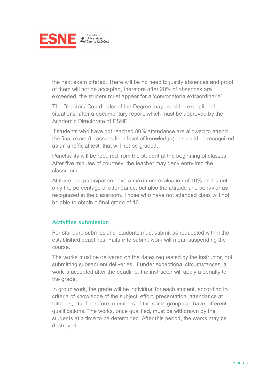

the next exam offered. There will be no need to justify absences and proof of them will not be accepted, therefore after 20% of absences are exceeded, the student must appear for a 'convocatoria extraordinaria'.

The Director / Coordinator of the Degree may consider exceptional situations, after a documentary report, which must be approved by the Academic Directorate of ESNE.

If students who have not reached 80% attendance are allowed to attend the final exam (to assess their level of knowledge), it should be recognized as an unofficial test, that will not be graded.

Punctuality will be required from the student at the beginning of classes. After five minutes of courtesy, the teacher may deny entry into the classroom.

Attitude and participation have a maximum evaluation of 10% and is not only the percentage of attendance, but also the attitude and behavior as recognized in the classroom. Those who have not attended class will not be able to obtain a final grade of 10.

#### **Activities submission**

For standard submissions, students must submit as requested within the established deadlines. Failure to submit work will mean suspending the course.

The works must be delivered on the dates requested by the instructor, not submitting subsequent deliveries. If under exceptional circumstances, a work is accepted after the deadline, the instructor will apply a penalty to the grade.

In group work, the grade will be individual for each student, according to criteria of knowledge of the subject, effort, presentation, attendance at tutorials, etc. Therefore, members of the same group can have different qualifications. The works, once qualified, must be withdrawn by the students at a time to be determined. After this period, the works may be destroyed.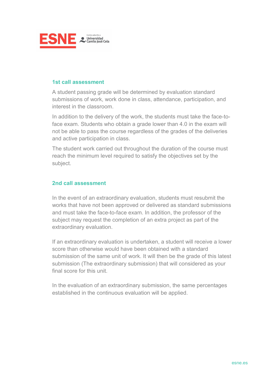

#### **1st call assessment**

A student passing grade will be determined by evaluation standard submissions of work, work done in class, attendance, participation, and interest in the classroom.

In addition to the delivery of the work, the students must take the face-toface exam. Students who obtain a grade lower than 4.0 in the exam will not be able to pass the course regardless of the grades of the deliveries and active participation in class.

The student work carried out throughout the duration of the course must reach the minimum level required to satisfy the objectives set by the subject.

#### **2nd call assessment**

In the event of an extraordinary evaluation, students must resubmit the works that have not been approved or delivered as standard submissions and must take the face-to-face exam. In addition, the professor of the subject may request the completion of an extra project as part of the extraordinary evaluation.

If an extraordinary evaluation is undertaken, a student will receive a lower score than otherwise would have been obtained with a standard submission of the same unit of work. It will then be the grade of this latest submission (The extraordinary submission) that will considered as your final score for this unit.

In the evaluation of an extraordinary submission, the same percentages established in the continuous evaluation will be applied.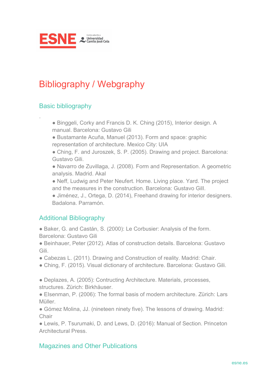

## Bibliography / Webgraphy

#### Basic bibliography

.

- Binggeli, Corky and Francis D. K. Ching (2015), Interior design. A manual. Barcelona: Gustavo Gili
- Bustamante Acuña, Manuel (2013). Form and space: graphic representation of architecture. Mexico City: UIA
- Ching, F. and Juroszek, S. P. (2005). Drawing and project. Barcelona: Gustavo Gili.
- Navarro de Zuvillaga, J. (2008). Form and Representation. A geometric analysis. Madrid. Akal
- Neff, Ludwig and Peter Neufert. Home. Living place. Yard. The project and the measures in the construction. Barcelona: Gustavo GilI.
- Jiménez, J., Ortega, D. (2014), Freehand drawing for interior designers. Badalona. Parramón.

#### Additional Bibliography

- Baker, G. and Castán, S. (2000): Le Corbusier: Analysis of the form. Barcelona: Gustavo Gili
- Beinhauer, Peter (2012). Atlas of construction details. Barcelona: Gustavo Gili.
- Cabezas L. (2011). Drawing and Construction of reality. Madrid: Chair.
- Ching, F. (2015). Visual dictionary of architecture. Barcelona: Gustavo Gili.
- Deplazes, A. (2005): Contructing Architecture. Materials, processes, structures. Zürich: Birkhäuser.
- EIsenman, P. (2006): The formal basis of modern architecture. Zürich: Lars Müller.
- Gómez Molina, JJ. (nineteen ninety five). The lessons of drawing. Madrid: **Chair**

● Lewis, P. Tsurumaki, D. and Lews, D. (2016): Manual of Section. Princeton Architectural Press.

#### Magazines and Other Publications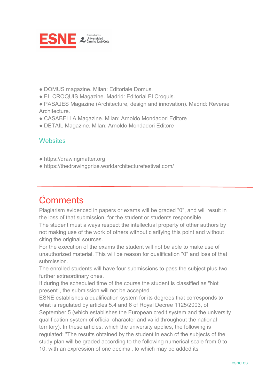

- DOMUS magazine. Milan: Editoriale Domus.
- EL CROQUIS Magazine. Madrid: Editorial El Croquis.
- PASAJES Magazine (Architecture, design and innovation). Madrid: Reverse Architecture.
- CASABELLA Magazine. Milan: Arnoldo Mondadori Editore
- DETAIL Magazine. Milan: Arnoldo Mondadori Editore

#### **Websites**

- https://drawingmatter.org
- https://thedrawingprize.worldarchitecturefestival.com/

# **Comments**

Plagiarism evidenced in papers or exams will be graded "0", and will result in the loss of that submission, for the student or students responsible.

The student must always respect the intellectual property of other authors by not making use of the work of others without clarifying this point and without citing the original sources.

For the execution of the exams the student will not be able to make use of unauthorized material. This will be reason for qualification "0" and loss of that submission.

The enrolled students will have four submissions to pass the subject plus two further extraordinary ones.

If during the scheduled time of the course the student is classified as "Not present", the submission will not be accepted.

ESNE establishes a qualification system for its degrees that corresponds to what is regulated by articles 5.4 and 6 of Royal Decree 1125/2003, of September 5 (which establishes the European credit system and the university qualification system of official character and valid throughout the national territory). In these articles, which the university applies, the following is regulated: "The results obtained by the student in each of the subjects of the study plan will be graded according to the following numerical scale from 0 to 10, with an expression of one decimal, to which may be added its